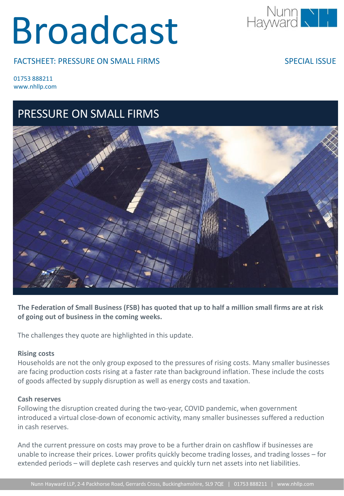# Broadcast

FACTSHEET: PRESSURE ON SMALL FIRMS



SPECIAL ISSUE

01753 888211 www.nhllp.com

## PRESSURE ON SMALL FIRMS



**The Federation of Small Business (FSB) has quoted that up to half a million small firms are at risk of going out of business in the coming weeks.**

The challenges they quote are highlighted in this update.

### **Rising costs**

Households are not the only group exposed to the pressures of rising costs. Many smaller businesses are facing production costs rising at a faster rate than background inflation. These include the costs of goods affected by supply disruption as well as energy costs and taxation.

### **Cash reserves**

Following the disruption created during the two-year, COVID pandemic, when government introduced a virtual close-down of economic activity, many smaller businesses suffered a reduction in cash reserves.

And the current pressure on costs may prove to be a further drain on cashflow if businesses are unable to increase their prices. Lower profits quickly become trading losses, and trading losses – for extended periods – will deplete cash reserves and quickly turn net assets into net liabilities.